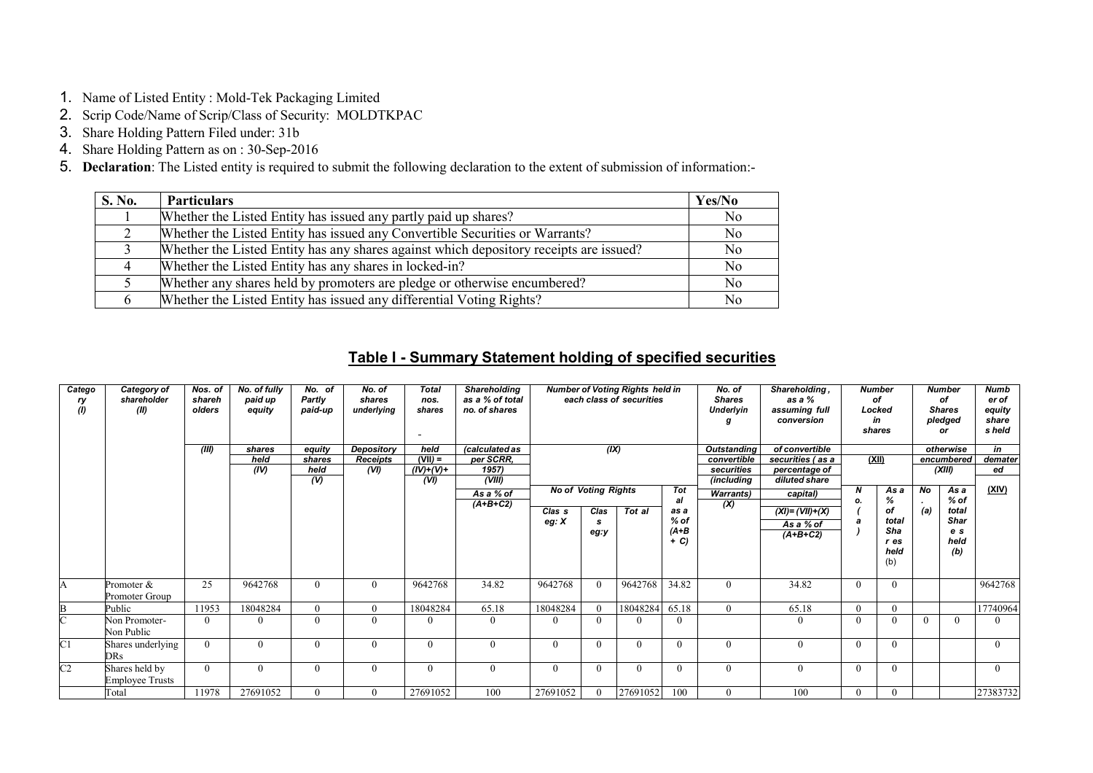- 1. Name of Listed Entity : Mold-Tek Packaging Limited
- 2. Scrip Code/Name of Scrip/Class of Security: MOLDTKPAC
- 3. Share Holding Pattern Filed under: 31b
- 4. Share Holding Pattern as on : 30-Sep-2016
- 5. Declaration: The Listed entity is required to submit the following declaration to the extent of submission of information:-

| S. No. | <b>Particulars</b>                                                                     | Yes/No         |
|--------|----------------------------------------------------------------------------------------|----------------|
|        | Whether the Listed Entity has issued any partly paid up shares?                        | N <sub>0</sub> |
|        | Whether the Listed Entity has issued any Convertible Securities or Warrants?           | N <sub>0</sub> |
|        | Whether the Listed Entity has any shares against which depository receipts are issued? | N <sub>o</sub> |
|        | Whether the Listed Entity has any shares in locked-in?                                 | N <sub>o</sub> |
|        | Whether any shares held by promoters are pledge or otherwise encumbered?               | No             |
|        | Whether the Listed Entity has issued any differential Voting Rights?                   | No             |

## Table I - Summary Statement holding of specified securities

| Catego<br>ry<br>(1) | Category of<br>shareholder<br>(II)       | Nos. of<br>shareh<br>olders<br>(III) | No. of fully<br>paid up<br>equity<br>shares<br>held<br>(IV) | No. of<br>Partly<br>paid-up<br>equity<br>shares<br>held | No. of<br>shares<br>underlying<br>Depository<br><b>Receipts</b><br>(VI) | <b>Total</b><br>nos.<br>shares<br>held<br>$(VII) =$<br>$(IV)+(V)+$ | Shareholding<br>as a % of total<br>no. of shares<br>(calculated as<br>per SCRR.<br>1957) |                   | <b>Number of Voting Rights held in</b><br>each class of securities<br>(IX) |          | No. of<br><b>Shares</b><br>Underlyin<br>convertible<br>securities |                                        |                                                 | Shareholding,<br>as a %<br>of<br>assuming full<br>Locked<br>conversion<br>in<br>shares<br><b>Outstanding</b><br>of convertible<br>(XII)<br>securities (as a<br>percentage of |                                           |                      | <b>Number</b>                              |                | Numb<br><b>Number</b><br>er of<br>of<br>equity<br><b>Shares</b><br>pledged<br>share<br>s held<br>or<br>in<br>otherwise<br>demater<br>encumbered<br>(XIII) |  |  |
|---------------------|------------------------------------------|--------------------------------------|-------------------------------------------------------------|---------------------------------------------------------|-------------------------------------------------------------------------|--------------------------------------------------------------------|------------------------------------------------------------------------------------------|-------------------|----------------------------------------------------------------------------|----------|-------------------------------------------------------------------|----------------------------------------|-------------------------------------------------|------------------------------------------------------------------------------------------------------------------------------------------------------------------------------|-------------------------------------------|----------------------|--------------------------------------------|----------------|-----------------------------------------------------------------------------------------------------------------------------------------------------------|--|--|
|                     |                                          |                                      |                                                             | (V)                                                     |                                                                         | (VI)                                                               | (VIII)<br>As a % of<br>$(A+B+C2)$                                                        |                   | <b>No of Voting Rights</b>                                                 |          | Tot<br>al                                                         | (including<br><b>Warrants</b> )<br>(X) | diluted share<br>capital)                       | N<br>Ο.                                                                                                                                                                      | As a<br>%                                 | <b>No</b><br>$\cdot$ | As a<br>$%$ of                             | ed<br>(XIV)    |                                                                                                                                                           |  |  |
|                     |                                          |                                      |                                                             |                                                         |                                                                         |                                                                    |                                                                                          | Clas s<br>eg: $X$ | Clas<br>s<br>eg:y                                                          | Tot al   | as a<br>$%$ of<br>$(A+B$<br>$+ C$                                 |                                        | $(XI) = (VII) + (X)$<br>As a % of<br>$(A+B+C2)$ | a                                                                                                                                                                            | of<br>total<br>Sha<br>r es<br>held<br>(b) | (a)                  | total<br><b>Shar</b><br>e s<br>held<br>(b) |                |                                                                                                                                                           |  |  |
| A                   | Promoter &<br>Promoter Group             | 25                                   | 9642768                                                     | $\theta$                                                | $\overline{0}$                                                          | 9642768                                                            | 34.82                                                                                    | 9642768           | $\overline{0}$                                                             | 9642768  | 34.82                                                             | $\theta$                               | 34.82                                           | $\overline{0}$                                                                                                                                                               | $\Omega$                                  |                      |                                            | 9642768        |                                                                                                                                                           |  |  |
| B                   | Public                                   | 11953                                | 18048284                                                    | $\theta$                                                | $\overline{0}$                                                          | 18048284                                                           | 65.18                                                                                    | 18048284          | $\Omega$                                                                   | 18048284 | 65.18                                                             | $\theta$                               | 65.18                                           | $\mathbf{0}$                                                                                                                                                                 |                                           |                      |                                            | 17740964       |                                                                                                                                                           |  |  |
|                     | Non Promoter-<br>Non Public              | $\theta$                             | $\theta$                                                    | $\Omega$                                                | $\overline{0}$                                                          | $\Omega$                                                           | $\theta$                                                                                 | $\Omega$          |                                                                            | $\Omega$ | $\mathbf{0}$                                                      |                                        | $\mathbf{0}$                                    | $\overline{0}$                                                                                                                                                               |                                           | $\theta$             |                                            | 0              |                                                                                                                                                           |  |  |
| C1                  | Shares underlying<br>DRs                 | $\theta$                             | $\Omega$                                                    | $\mathbf{0}$                                            | $\mathbf{0}$                                                            | $\Omega$                                                           | $\theta$                                                                                 | $\theta$          | $\theta$                                                                   | $\Omega$ | $\overline{0}$                                                    | $\theta$                               | $\overline{0}$                                  | $\mathbf{0}$                                                                                                                                                                 | 0                                         |                      |                                            | $\mathbf{0}$   |                                                                                                                                                           |  |  |
| C <sub>2</sub>      | Shares held by<br><b>Employee Trusts</b> | $\theta$                             | $\Omega$                                                    | $\theta$                                                | $\mathbf{0}$                                                            | $\Omega$                                                           | $\Omega$                                                                                 | $\theta$          | $\Omega$                                                                   | $\theta$ | $\theta$                                                          | $\theta$                               | $\mathbf{0}$                                    | $\mathbf{0}$                                                                                                                                                                 | $\Omega$                                  |                      |                                            | $\overline{0}$ |                                                                                                                                                           |  |  |
|                     | Total                                    | 11978                                | 27691052                                                    | $\Omega$                                                | $\theta$                                                                | 27691052                                                           | 100                                                                                      | 27691052          |                                                                            | 27691052 | 100                                                               | $\Omega$                               | 100                                             | $\mathbf{0}$                                                                                                                                                                 |                                           |                      |                                            | 27383732       |                                                                                                                                                           |  |  |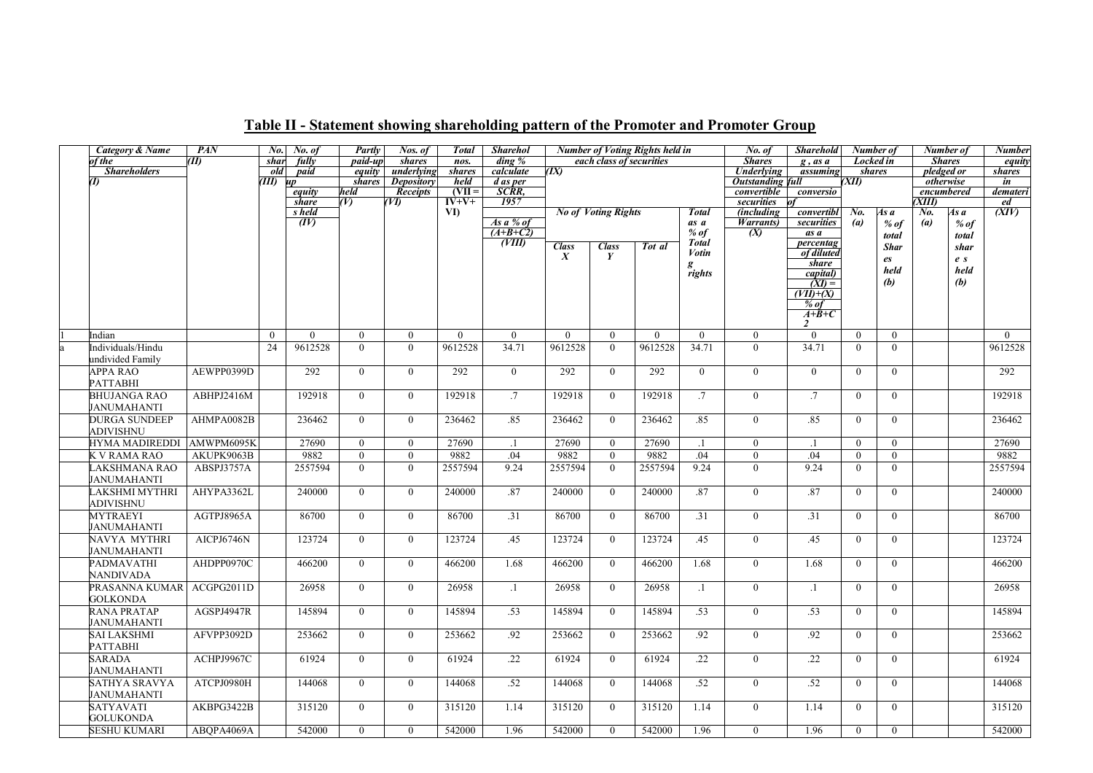| <b>Category &amp; Name</b> | PAN        | No.          | No. of          | Partly         | Nos. of           | <b>Total</b>                   | <b>Sharehol</b>      |                                  |                            | <b>Number of Voting Rights held in</b> |                 | No. of                          | <b>Sharehold</b>         | Number of        |                | Number of           |       | <b>Number</b>            |
|----------------------------|------------|--------------|-----------------|----------------|-------------------|--------------------------------|----------------------|----------------------------------|----------------------------|----------------------------------------|-----------------|---------------------------------|--------------------------|------------------|----------------|---------------------|-------|--------------------------|
| f the                      | (II)       | shar         | fully           | paid-up        | shares            | nos.                           | $\dim g \mathcal{C}$ |                                  | each class of securities   |                                        |                 | <b>Shares</b>                   | $g$ , as $\overline{a}$  | <b>Locked</b> in |                | <b>Shares</b>       |       | equity                   |
| <b>Shareholders</b>        |            | old          | paid            | equity         | underlying        | <b>shares</b>                  | calculate            | (IX)                             |                            |                                        |                 | <b>Underlying</b>               | assuming                 | <i>shares</i>    |                | pledged or          |       | shares                   |
| Œ                          |            | TH)          | иp              | shares         | <b>Depository</b> | held                           | d as per             |                                  |                            |                                        |                 | <b>Outstanding full</b>         |                          | XII)             |                | otherwise           |       | in                       |
|                            |            |              | equity          | held           | <b>Receipts</b>   | $(VII =$<br>$\overline{IV+V+}$ | SCRR,<br>1957        |                                  |                            |                                        |                 | convertible                     | conversio                |                  |                | encumbered<br>XIII) |       | demateri                 |
|                            |            |              | share<br>s held | (V)            | (VI)              | VI)                            |                      |                                  |                            |                                        | <b>Total</b>    | securities<br><i>(including</i> |                          | No.              |                |                     | As a  | ed<br>$\overline{(XIV)}$ |
|                            |            |              | (IV)            |                |                   |                                | As a % of            |                                  | <b>No of Voting Rights</b> |                                        | as a            | <i>Warrants</i> )               | convertibl<br>securities | (a)              | As a<br>$%$ of | No.<br>(a)          | % of  |                          |
|                            |            |              |                 |                |                   |                                | $(A+B+C2)$           |                                  |                            |                                        | $%$ of          | (X)                             | as a                     |                  |                |                     |       |                          |
|                            |            |              |                 |                |                   |                                | (VIII)               |                                  |                            | Tot al                                 | <b>Total</b>    |                                 | percentag                |                  | total          |                     | total |                          |
|                            |            |              |                 |                |                   |                                |                      | <b>Class</b><br>$\boldsymbol{X}$ | <b>Class</b><br>Y          |                                        | Votin           |                                 | of diluted               |                  | <b>Shar</b>    |                     | shar  |                          |
|                            |            |              |                 |                |                   |                                |                      |                                  |                            |                                        |                 |                                 | share                    |                  | es             |                     | e s   |                          |
|                            |            |              |                 |                |                   |                                |                      |                                  |                            |                                        | g<br>rights     |                                 | capital)                 |                  | held           |                     | held  |                          |
|                            |            |              |                 |                |                   |                                |                      |                                  |                            |                                        |                 |                                 | (XI)                     |                  | (b)            |                     | (b)   |                          |
|                            |            |              |                 |                |                   |                                |                      |                                  |                            |                                        |                 |                                 | $(VII)+(X)$              |                  |                |                     |       |                          |
|                            |            |              |                 |                |                   |                                |                      |                                  |                            |                                        |                 |                                 | $%$ of<br>$A+B+C$        |                  |                |                     |       |                          |
|                            |            |              |                 |                |                   |                                |                      |                                  |                            |                                        |                 |                                 | 2                        |                  |                |                     |       |                          |
| Indian                     |            | $\mathbf{0}$ | $\theta$        | $\overline{0}$ | $\Omega$          | $\overline{0}$                 | $\overline{0}$       | $\Omega$                         | $\overline{0}$             | $\Omega$                               | $\mathbf{0}$    | $\overline{0}$                  | $\overline{0}$           | $\theta$         | $\overline{0}$ |                     |       | $\Omega$                 |
| Individuals/Hindu          |            | 24           | 9612528         | $\theta$       | $\theta$          | 9612528                        | 34.71                | 9612528                          | $\theta$                   | 9612528                                | 34.71           | $\theta$                        | 34.71                    | $\theta$         | $\overline{0}$ |                     |       | 9612528                  |
| undivided Family           |            |              |                 |                |                   |                                |                      |                                  |                            |                                        |                 |                                 |                          |                  |                |                     |       |                          |
| APPA RAO                   | AEWPP0399D |              | 292             | $\overline{0}$ | $\overline{0}$    | 292                            | $\overline{0}$       | 292                              | $\overline{0}$             | 292                                    | $\overline{0}$  | $\overline{0}$                  | $\overline{0}$           | $\mathbf{0}$     | $\overline{0}$ |                     |       | 292                      |
| PATTABHI                   |            |              |                 |                |                   |                                |                      |                                  |                            |                                        |                 |                                 |                          |                  |                |                     |       |                          |
| <b>BHUJANGA RAO</b>        | ABHPJ2416M |              | 192918          | $\overline{0}$ | $\theta$          | 192918                         | .7                   | 192918                           | $\theta$                   | 192918                                 | $\overline{.7}$ | $\theta$                        | $.7\,$                   | $\theta$         | $\theta$       |                     |       | 192918                   |
| JANUMAHANTI                |            |              |                 |                |                   |                                |                      |                                  |                            |                                        |                 |                                 |                          |                  |                |                     |       |                          |
| <b>DURGA SUNDEEP</b>       | AHMPA0082B |              | 236462          | $\overline{0}$ | $\theta$          | 236462                         | .85                  | 236462                           | $\overline{0}$             | 236462                                 | .85             | $\theta$                        | .85                      | $\theta$         | $\theta$       |                     |       | 236462                   |
| <b>ADIVISHNU</b>           |            |              |                 |                |                   |                                |                      |                                  |                            |                                        |                 |                                 |                          |                  |                |                     |       |                          |
| <b>HYMA MADIREDDI</b>      | AMWPM6095K |              | 27690           | $\overline{0}$ | $\overline{0}$    | 27690                          |                      | 27690                            | $\overline{0}$             | 27690                                  | $\cdot$ 1       | $\mathbf{0}$                    |                          | $\theta$         | $\overline{0}$ |                     |       | 27690                    |
| K V RAMA RAO               | AKUPK9063B |              | 9882            | $\mathbf{0}$   | $\mathbf{0}$      | 9882                           | .04                  | 9882                             | $\overline{0}$             | 9882                                   | .04             | $\mathbf{0}$                    | .04                      | $\theta$         | $\mathbf{0}$   |                     |       | 9882                     |
| LAKSHMANA RAO              | ABSPJ3757A |              | 2557594         | $\theta$       | $\theta$          | 2557594                        | 9.24                 | 2557594                          | $\mathbf{0}$               | 2557594                                | 9.24            | $\theta$                        | 9.24                     | $\mathbf{0}$     | $\mathbf{0}$   |                     |       | 2557594                  |
| JANUMAHANTI                |            |              |                 |                |                   |                                |                      |                                  |                            |                                        |                 |                                 |                          |                  |                |                     |       |                          |
| LAKSHMI MYTHRI             | AHYPA3362L |              | 240000          | $\theta$       | $\Omega$          | 240000                         | .87                  | 240000                           | $\overline{0}$             | 240000                                 | .87             | $\mathbf{0}$                    | .87                      | $\overline{0}$   | $\mathbf{0}$   |                     |       | 240000                   |
| <b>ADIVISHNU</b>           |            |              |                 |                |                   |                                |                      |                                  |                            |                                        |                 |                                 |                          |                  |                |                     |       |                          |
| <b>MYTRAEYI</b>            | AGTPJ8965A |              | 86700           | $\overline{0}$ | $\overline{0}$    | 86700                          | .31                  | 86700                            | $\overline{0}$             | 86700                                  | .31             | $\mathbf{0}$                    | .31                      | $\overline{0}$   | $\mathbf{0}$   |                     |       | 86700                    |
| JANUMAHANTI                |            |              |                 |                |                   |                                |                      |                                  |                            |                                        |                 |                                 |                          |                  |                |                     |       |                          |
| NAVYA MYTHRI               | AICPJ6746N |              | 123724          | $\theta$       | $\overline{0}$    | 123724                         | .45                  | 123724                           | $\overline{0}$             | 123724                                 | .45             | $\mathbf{0}$                    | .45                      | $\overline{0}$   | $\overline{0}$ |                     |       | 123724                   |
| JANUMAHANTI                |            |              |                 |                |                   |                                |                      |                                  |                            |                                        |                 |                                 |                          |                  |                |                     |       |                          |
| <b>PADMAVATHI</b>          | AHDPP0970C |              | 466200          | $\theta$       | $\theta$          | 466200                         | 1.68                 | 466200                           | $\theta$                   | 466200                                 | 1.68            | $\theta$                        | 1.68                     | $\theta$         | $\theta$       |                     |       | 466200                   |
| NANDIVADA                  |            |              |                 |                |                   |                                |                      |                                  |                            |                                        |                 |                                 |                          |                  |                |                     |       |                          |
| PRASANNA KUMAR             | ACGPG2011D |              | 26958           | $\theta$       | $\theta$          | 26958                          | $\cdot$ 1            | 26958                            | $\theta$                   | 26958                                  | $\cdot$ 1       | $\theta$                        | $\cdot$ 1                | $\theta$         | $\theta$       |                     |       | 26958                    |
| <b>GOLKONDA</b>            |            |              |                 |                |                   |                                |                      |                                  |                            |                                        |                 |                                 |                          |                  |                |                     |       |                          |
| RANA PRATAP                | AGSPJ4947R |              | 145894          | $\theta$       | $\theta$          | 145894                         | .53                  | 145894                           | $\theta$                   | 145894                                 | .53             | $\theta$                        | .53                      | $\Omega$         | $\theta$       |                     |       | 145894                   |
| JANUMAHANTI                |            |              |                 |                |                   |                                |                      |                                  |                            |                                        |                 |                                 |                          |                  |                |                     |       |                          |
| SAI LAKSHMI                | AFVPP3092D |              | 253662          | $\theta$       | $\overline{0}$    | 253662                         | .92                  | 253662                           | $\overline{0}$             | 253662                                 | .92             | $\overline{0}$                  | .92                      | $\Omega$         | $\overline{0}$ |                     |       | 253662                   |
| PATTABHI                   |            |              |                 |                |                   |                                |                      |                                  |                            |                                        |                 |                                 |                          |                  |                |                     |       |                          |
|                            |            |              |                 |                |                   |                                |                      |                                  |                            |                                        |                 |                                 |                          |                  |                |                     |       |                          |
| <b>SARADA</b>              | ACHPJ9967C |              | 61924           | $\theta$       | $\theta$          | 61924                          | .22                  | 61924                            | $\theta$                   | 61924                                  | .22             | $\mathbf{0}$                    | .22                      | $\Omega$         | $\theta$       |                     |       | 61924                    |
| JANUMAHANTI                |            |              |                 |                |                   |                                |                      |                                  |                            |                                        |                 |                                 |                          |                  |                |                     |       |                          |
| SATHYA SRAVYA              | ATCPJ0980H |              | 144068          | $\overline{0}$ | $\overline{0}$    | 144068                         | .52                  | 144068                           | $\overline{0}$             | 144068                                 | .52             | $\mathbf{0}$                    | .52                      | $\overline{0}$   | $\overline{0}$ |                     |       | 144068                   |
| <b>JANUMAHANTI</b>         |            |              |                 |                |                   |                                |                      |                                  |                            |                                        |                 |                                 |                          |                  |                |                     |       |                          |
| <b>SATYAVATI</b>           | AKBPG3422B |              | 315120          | $\Omega$       | $\Omega$          | 315120                         | 1.14                 | 315120                           | $\mathbf{0}$               | 315120                                 | 1.14            | $\mathbf{0}$                    | 1.14                     | $\theta$         | $\overline{0}$ |                     |       | 315120                   |
| <b>GOLUKONDA</b>           |            |              |                 |                |                   |                                |                      |                                  |                            |                                        |                 |                                 |                          |                  |                |                     |       |                          |
| <b>SESHU KUMARI</b>        | ABQPA4069A |              | 542000          | $\theta$       | $\theta$          | 542000                         | 1.96                 | 542000                           | $\Omega$                   | 542000                                 | 1.96            | $\Omega$                        | 1.96                     | $\theta$         | $\overline{0}$ |                     |       | 542000                   |

### Table II - Statement showing shareholding pattern of the Promoter and Promoter Group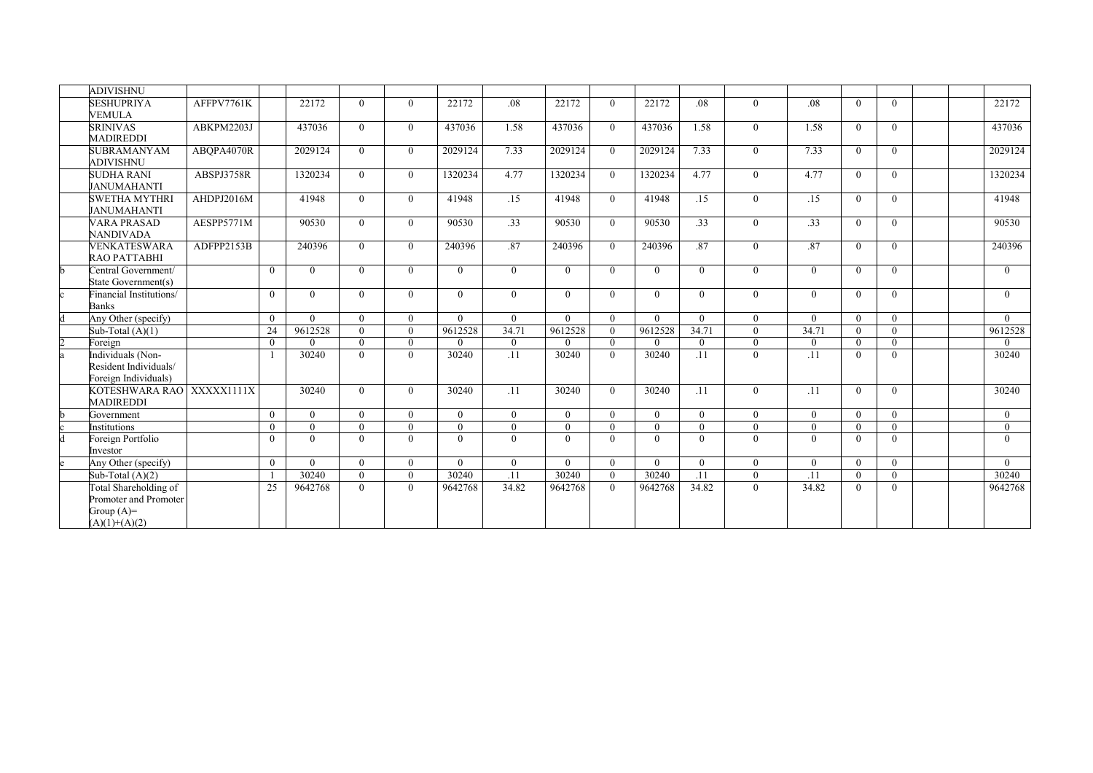| <b>ADIVISHNU</b>                            |            |          |                   |                      |                      |          |                  |                   |                      |                   |                 |                      |                 |          |                      |  |                         |
|---------------------------------------------|------------|----------|-------------------|----------------------|----------------------|----------|------------------|-------------------|----------------------|-------------------|-----------------|----------------------|-----------------|----------|----------------------|--|-------------------------|
| <b>SESHUPRIYA</b>                           | AFFPV7761K |          | 22172             | $\theta$             | $\theta$             | 22172    | .08 <sub>1</sub> | 22172             | $\Omega$             | 22172             | .08             | $\theta$             | .08             | $\Omega$ | $\theta$             |  | 22172                   |
| <b>VEMULA</b>                               |            |          |                   |                      |                      |          |                  |                   |                      |                   |                 |                      |                 |          |                      |  |                         |
| <b>SRINIVAS</b>                             | ABKPM2203J |          | 437036            | $\Omega$             | $\Omega$             | 437036   | 1.58             | 437036            | $\Omega$             | 437036            | 1.58            | $\theta$             | 1.58            | $\Omega$ | $\Omega$             |  | 437036                  |
| <b>MADIREDDI</b>                            |            |          |                   |                      |                      |          |                  |                   |                      |                   |                 |                      |                 |          |                      |  |                         |
| <b>SUBRAMANYAM</b>                          | ABOPA4070R |          | 2029124           | $\Omega$             | $\theta$             | 2029124  | 7.33             | 2029124           | $\theta$             | 2029124           | 7.33            | $\theta$             | 7.33            | $\Omega$ | $\theta$             |  | 2029124                 |
| ADIVISHNU                                   |            |          |                   |                      |                      |          |                  |                   |                      |                   |                 |                      |                 |          |                      |  |                         |
| <b>SUDHA RANI</b>                           | ABSPJ3758R |          | 1320234           | $\theta$             | $\theta$             | 1320234  | 4.77             | 1320234           | $\theta$             | 1320234           | 4.77            | $\theta$             | 4.77            | $\Omega$ | $\theta$             |  | 1320234                 |
| <b>JANUMAHANTI</b><br><b>SWETHA MYTHRI</b>  | AHDPJ2016M |          | 41948             |                      |                      |          |                  | 41948             |                      |                   |                 |                      |                 |          |                      |  |                         |
| <b>JANUMAHANTI</b>                          |            |          |                   | $\theta$             | $\theta$             | 41948    | .15              |                   | $\Omega$             | 41948             | .15             | $\theta$             | .15             | $\Omega$ | $\theta$             |  | 41948                   |
| <b>VARA PRASAD</b>                          | AESPP5771M |          | 90530             | $\theta$             | $\theta$             | 90530    | .33              | 90530             | $\Omega$             | 90530             | $\overline{33}$ | $\mathbf{0}$         | .33             | $\Omega$ | $\overline{0}$       |  | 90530                   |
| <b>NANDIVADA</b>                            |            |          |                   |                      |                      |          |                  |                   |                      |                   |                 |                      |                 |          |                      |  |                         |
| <b>VENKATESWARA</b>                         | ADFPP2153B |          | 240396            | $\theta$             | $\theta$             | 240396   | .87              | 240396            | $\Omega$             | 240396            | .87             | $\theta$             | .87             | $\Omega$ | $\theta$             |  | 240396                  |
| RAO PATTABHI                                |            |          |                   |                      |                      |          |                  |                   |                      |                   |                 |                      |                 |          |                      |  |                         |
| Central Government/                         |            | $\theta$ | $\theta$          | $\theta$             | $\theta$             | $\Omega$ | $\theta$         | $\theta$          | $\overline{0}$       | $\Omega$          | $\theta$        | $\overline{0}$       | $\Omega$        | $\Omega$ | $\theta$             |  | $\overline{0}$          |
| State Government(s)                         |            |          |                   |                      |                      |          |                  |                   |                      |                   |                 |                      |                 |          |                      |  |                         |
| Financial Institutions/                     |            | $\theta$ | $\theta$          | $\mathbf{0}$         | $\mathbf{0}$         | $\theta$ | $\theta$         | $\theta$          | $\overline{0}$       | $\Omega$          | $\theta$        | $\overline{0}$       | $\overline{0}$  | $\theta$ | $\theta$             |  | $\overline{0}$          |
| <b>Banks</b>                                |            |          |                   |                      |                      |          |                  |                   |                      |                   |                 |                      |                 |          |                      |  |                         |
| Any Other (specify)                         |            | $\Omega$ | $\Omega$          | $\theta$             | $\theta$             | $\Omega$ | $\Omega$         | $\Omega$          | $\theta$             | $\Omega$          | $\theta$        | $\theta$             | $\Omega$        | $\Omega$ | $\Omega$             |  | $\Omega$                |
| Sub-Total $(A)(1)$                          |            | 24       | 9612528           | $\theta$             | $\theta$             | 9612528  | 34.71            | 9612528           | $\theta$             | 9612528           | 34.71           | $\theta$             | 34.71           | $\theta$ | $\theta$             |  | 9612528                 |
| Foreign                                     |            | $\theta$ | $\Omega$          | $\theta$             | $\theta$             | $\Omega$ | $\mathbf{0}$     | $\theta$          | $\overline{0}$       | $\Omega$          | $\Omega$        | $\mathbf{0}$         | $^{\circ}$      | $\Omega$ | $\mathbf{0}$         |  | $\overline{0}$          |
| Individuals (Non-                           |            |          | 30240             | $\theta$             | $\theta$             | 30240    | .11              | 30240             | $\overline{0}$       | 30240             | .11             | $\mathbf{0}$         | .11             | $\theta$ | $\mathbf{0}$         |  | 30240                   |
| Resident Individuals/                       |            |          |                   |                      |                      |          |                  |                   |                      |                   |                 |                      |                 |          |                      |  |                         |
| Foreign Individuals)                        |            |          |                   |                      |                      |          |                  |                   |                      |                   |                 |                      |                 |          |                      |  |                         |
| KOTESHWARA RAO XXXXX1111X                   |            |          | 30240             | $\theta$             | $\theta$             | 30240    | .11              | 30240             | $\Omega$             | 30240             | .11             | $\theta$             | .11             | $\Omega$ | $\theta$             |  | 30240                   |
| <b>MADIREDDI</b>                            |            |          |                   |                      |                      |          |                  |                   |                      |                   |                 |                      |                 |          |                      |  |                         |
| Government                                  |            | $\theta$ | $\Omega$          | $\theta$             | $\Omega$             | $\Omega$ | $\Omega$         | $\theta$          | $\Omega$             | $\Omega$          | $\theta$        | $\theta$             | $\Omega$        | $\Omega$ | $\theta$             |  | $\overline{0}$          |
| <b>Institutions</b>                         |            | $\theta$ | $\theta$          | $\theta$             | $\Omega$             | $\Omega$ | $\Omega$         | $\theta$          | $\overline{0}$       | $\Omega$          | $\theta$        | $\theta$             | $\Omega$        | $\Omega$ | $\theta$             |  | $\overline{0}$          |
| Foreign Portfolio                           |            | $\Omega$ | $\theta$          | $\theta$             | $\theta$             | $\Omega$ | $\theta$         | $\theta$          | $\mathbf{0}$         | $\Omega$          | $\theta$        | $\mathbf{0}$         | $\overline{0}$  | $\Omega$ | $\theta$             |  | $\Omega$                |
| Investor                                    |            |          |                   |                      |                      | $\Omega$ |                  |                   |                      |                   |                 |                      |                 | $\theta$ |                      |  |                         |
| Any Other (specify)                         |            | $\theta$ | $\theta$<br>30240 | $\theta$<br>$\theta$ | $\theta$<br>$\Omega$ | 30240    | $\theta$<br>.11  | $\theta$<br>30240 | $\theta$<br>$\theta$ | $\theta$<br>30240 | $\theta$<br>.11 | $\theta$<br>$\theta$ | $\Omega$<br>.11 | $\Omega$ | $\theta$<br>$\theta$ |  | $\overline{0}$<br>30240 |
| Sub-Total $(A)(2)$<br>Total Shareholding of |            | 25       | 9642768           | $\overline{0}$       | $\mathbf{0}$         | 9642768  | 34.82            | 9642768           | $\overline{0}$       | 9642768           | 34.82           | $\overline{0}$       | 34.82           | $\theta$ | $\mathbf{0}$         |  | 9642768                 |
| Promoter and Promoter                       |            |          |                   |                      |                      |          |                  |                   |                      |                   |                 |                      |                 |          |                      |  |                         |
| Group $(A)=$                                |            |          |                   |                      |                      |          |                  |                   |                      |                   |                 |                      |                 |          |                      |  |                         |
| $(A)(1)+(A)(2)$                             |            |          |                   |                      |                      |          |                  |                   |                      |                   |                 |                      |                 |          |                      |  |                         |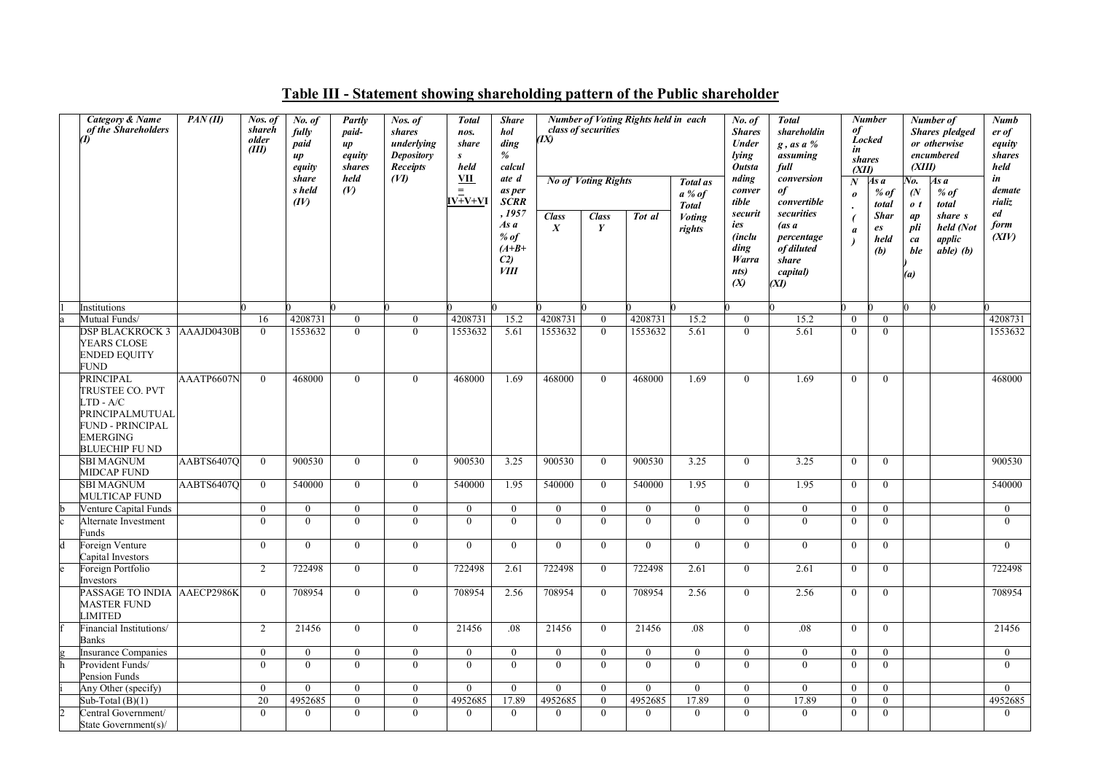| Category & Name<br>of the Shareholders                                                                               | PAN(II)    | Nos. of<br>shareh<br>older<br>(III) | No. of<br>fully<br>paid<br>$\mu$<br>equity | Partly<br>paid-<br>$\mu$<br>equity<br><i>shares</i> | Nos. of<br>shares<br>underlying<br><b>Depository</b><br><b>Receipts</b> | <b>Total</b><br>nos.<br>share<br>s<br>held | <b>Share</b><br>hol<br>ding<br>%<br>calcul                           | (IX)                             | class of securities        | <b>Number of Voting Rights held in each</b> |                                             | No. of<br><b>Shares</b><br>Under<br>lying<br><b>Outsta</b>      | <b>Total</b><br>shareholdin<br>$g$ , as a %<br>assuming<br>full              | оf<br>in<br><i>shares</i><br>(XII)        | $\overline{\mathit{Number}}$<br>Locked | (XIII)                                           | Number of<br><b>Shares</b> pledged<br>or otherwise<br>encumbered | <b>Numb</b><br>er of<br>equity<br>shares<br>held |
|----------------------------------------------------------------------------------------------------------------------|------------|-------------------------------------|--------------------------------------------|-----------------------------------------------------|-------------------------------------------------------------------------|--------------------------------------------|----------------------------------------------------------------------|----------------------------------|----------------------------|---------------------------------------------|---------------------------------------------|-----------------------------------------------------------------|------------------------------------------------------------------------------|-------------------------------------------|----------------------------------------|--------------------------------------------------|------------------------------------------------------------------|--------------------------------------------------|
|                                                                                                                      |            |                                     | share<br>s held<br>(IV)                    | held<br>(V)                                         | (VI)                                                                    | <u>VII</u><br>$=$<br>$IV+V+VI$             | ate d<br>as per<br><b>SCRR</b>                                       |                                  | <b>No of Voting Rights</b> |                                             | <b>Total</b> as<br>$a\%$ of<br><b>Total</b> | nding<br>conver<br>tible                                        | conversion<br>of<br>convertible                                              | $\boldsymbol{N}$<br>$\boldsymbol{\theta}$ | As a<br>$%$ of<br>total                | Vo.<br>$\overline{N}$<br>$\boldsymbol{\theta}$ t | As a<br>$%$ of<br>total                                          | in<br>demate<br>rializ                           |
|                                                                                                                      |            |                                     |                                            |                                                     |                                                                         |                                            | , 1957<br>As a<br>$%$ of<br>$(A+B+$<br>C <sub>2</sub><br><i>VIII</i> | <b>Class</b><br>$\boldsymbol{X}$ | <b>Class</b><br>Y          | Tot al                                      | <b>Voting</b><br>rights                     | securit<br>ies<br><i>(inclu</i><br>ding<br>Warra<br>nts)<br>(X) | securities<br>(as a<br>percentage<br>of diluted<br>share<br>capital)<br>(XI) | $\boldsymbol{a}$                          | <b>Shar</b><br>es<br>held<br>(b)       | ap<br>pli<br>ca<br>ble<br>(a)                    | share s<br>held (Not<br>applic<br>$able($ b $)$                  | ed<br>form<br>(XIV)                              |
| Institutions                                                                                                         |            |                                     |                                            |                                                     |                                                                         |                                            |                                                                      |                                  |                            |                                             |                                             |                                                                 |                                                                              |                                           |                                        |                                                  |                                                                  |                                                  |
| Mutual Funds/                                                                                                        |            | 16                                  | 4208731                                    | $\overline{0}$                                      | $\mathbf{0}$                                                            | 4208731                                    | 15.2                                                                 | 4208731                          | $\overline{0}$             | 4208731                                     | 15.2                                        | $\boldsymbol{0}$                                                | 15.2                                                                         | $\mathbf{0}$                              | $\theta$                               |                                                  |                                                                  | 4208731                                          |
| <b>DSP BLACKROCK 3 AAAJD0430B</b><br><b>YEARS CLOSE</b><br><b>ENDED EQUITY</b><br>FUND                               |            | $\theta$                            | 1553632                                    | $\Omega$                                            | $\overline{0}$                                                          | 1553632                                    | 5.61                                                                 | 1553632                          | $\theta$                   | 1553632                                     | 5.61                                        | $\overline{0}$                                                  | 5.61                                                                         | $\Omega$                                  | $\Omega$                               |                                                  |                                                                  | 1553632                                          |
| PRINCIPAL<br>TRUSTEE CO. PVT<br>TD - A/C<br>PRINCIPALMUTUAL<br><b>FUND - PRINCIPAL</b><br>EMERGING<br>BLUECHIP FU ND | AAATP6607N | $\theta$                            | 468000                                     | $\theta$                                            | $\theta$                                                                | 468000                                     | 1.69                                                                 | 468000                           | $\theta$                   | 468000                                      | 1.69                                        | $\theta$                                                        | 1.69                                                                         | $\theta$                                  | $\theta$                               |                                                  |                                                                  | 468000                                           |
| <b>SBI MAGNUM</b><br>MIDCAP FUND                                                                                     | AABTS6407O | $\theta$                            | 900530                                     | $\mathbf{0}$                                        | $\overline{0}$                                                          | 900530                                     | 3.25                                                                 | 900530                           | $\overline{0}$             | 900530                                      | 3.25                                        | $\overline{0}$                                                  | 3.25                                                                         | $\theta$                                  | $\Omega$                               |                                                  |                                                                  | 900530                                           |
| <b>SBI MAGNUM</b><br><b>MULTICAP FUND</b>                                                                            | AABTS6407Q | $\mathbf{0}$                        | 540000                                     | $\mathbf{0}$                                        | $\overline{0}$                                                          | 540000                                     | 1.95                                                                 | 540000                           | $\overline{0}$             | 540000                                      | 1.95                                        | $\overline{0}$                                                  | 1.95                                                                         | $\theta$                                  | $\theta$                               |                                                  |                                                                  | 540000                                           |
| Venture Capital Funds                                                                                                |            | $\overline{0}$                      | $\mathbf{0}$                               | $\overline{0}$                                      | $\overline{0}$                                                          | $\mathbf{0}$                               | $\overline{0}$                                                       | $\overline{0}$                   | $\overline{0}$             | $\bf{0}$                                    | $\overline{0}$                              | $\mathbf{0}$                                                    | $\mathbf{0}$                                                                 | $\overline{0}$                            | $\overline{0}$                         |                                                  |                                                                  | $\overline{0}$                                   |
| Alternate Investment<br>unds?                                                                                        |            | $\Omega$                            | $\overline{0}$                             | $\Omega$                                            | $\overline{0}$                                                          | $\Omega$                                   | $\overline{0}$                                                       | $\mathbf{0}$                     | $\overline{0}$             | $\Omega$                                    | $\Omega$                                    | $\mathbf{0}$                                                    | $\theta$                                                                     | $\Omega$                                  | $\Omega$                               |                                                  |                                                                  | $\Omega$                                         |
| Foreign Venture<br>Capital Investors                                                                                 |            | $\Omega$                            | $\mathbf{0}$                               | $\theta$                                            | $\overline{0}$                                                          | $\theta$                                   | $\overline{0}$                                                       | $\overline{0}$                   | $\theta$                   | $\theta$                                    | $\theta$                                    | $\mathbf{0}$                                                    | $\mathbf{0}$                                                                 | $\mathbf{0}$                              | $\Omega$                               |                                                  |                                                                  | $\Omega$                                         |
| Foreign Portfolio<br>Investors                                                                                       |            | 2                                   | 722498                                     | $\mathbf{0}$                                        | $\overline{0}$                                                          | 722498                                     | 2.61                                                                 | 722498                           | $\overline{0}$             | 722498                                      | 2.61                                        | $\overline{0}$                                                  | 2.61                                                                         | $\mathbf{0}$                              | $\overline{0}$                         |                                                  |                                                                  | 722498                                           |
| PASSAGE TO INDIA AAECP2986K<br><b>MASTER FUND</b><br><b>IMITED</b>                                                   |            | $\theta$                            | 708954                                     | $\theta$                                            | $\overline{0}$                                                          | 708954                                     | 2.56                                                                 | 708954                           | $\overline{0}$             | 708954                                      | 2.56                                        | $\overline{0}$                                                  | 2.56                                                                         | $\theta$                                  | $\theta$                               |                                                  |                                                                  | 708954                                           |
| inancial Institutions/<br>Banks                                                                                      |            | 2                                   | 21456                                      | $\theta$                                            | $\overline{0}$                                                          | 21456                                      | .08                                                                  | 21456                            | $\overline{0}$             | 21456                                       | .08                                         | $\overline{0}$                                                  | .08                                                                          | $\theta$                                  | $\theta$                               |                                                  |                                                                  | 21456                                            |
| Insurance Companies                                                                                                  |            | $\Omega$                            | $\mathbf{0}$                               | $\mathbf{0}$                                        | $\overline{0}$                                                          | $\Omega$                                   | $\mathbf{0}$                                                         | $\boldsymbol{0}$                 | $\mathbf{0}$               | $\overline{0}$                              | $\mathbf{0}$                                | $\boldsymbol{0}$                                                | $\boldsymbol{0}$                                                             | $\bf{0}$                                  | $\Omega$                               |                                                  |                                                                  | $\overline{0}$                                   |
| Provident Funds/<br>Pension Funds                                                                                    |            | $\Omega$                            | $\Omega$                                   | $\Omega$                                            | $\theta$                                                                | $\theta$                                   | $\Omega$                                                             | $\Omega$                         | $\Omega$                   | $\Omega$                                    | $\Omega$                                    | $\Omega$                                                        | $\theta$                                                                     | $\theta$                                  | $\Omega$                               |                                                  |                                                                  | $\theta$                                         |
| Any Other (specify)                                                                                                  |            | $\theta$                            | $\overline{0}$                             | $\theta$                                            | $\overline{0}$                                                          | $\theta$                                   | $\theta$                                                             | $\theta$                         | $\overline{0}$             | $\theta$                                    | $\theta$                                    | $\theta$                                                        | $\mathbf{0}$                                                                 | $\theta$                                  | $\theta$                               |                                                  |                                                                  | $\mathbf{0}$                                     |
| Sub-Total $(B)(1)$                                                                                                   |            | 20                                  | 4952685                                    | $\overline{0}$                                      | $\mathbf{0}$                                                            | 4952685                                    | 17.89                                                                | 4952685                          | $\overline{0}$             | 4952685                                     | 17.89                                       | $\mathbf{0}$                                                    | 17.89                                                                        | $\mathbf{0}$                              | $\theta$                               |                                                  |                                                                  | 4952685                                          |
| Central Government/<br>State Government(s)/                                                                          |            | $\Omega$                            | $\theta$                                   | $\theta$                                            | $\theta$                                                                | $\theta$                                   | $\theta$                                                             | $\Omega$                         | $\theta$                   | $\theta$                                    | $\theta$                                    | $\Omega$                                                        | $\Omega$                                                                     | $\theta$                                  | $\Omega$                               |                                                  |                                                                  | $\Omega$                                         |

#### Table III - Statement showing shareholding pattern of the Public shareholder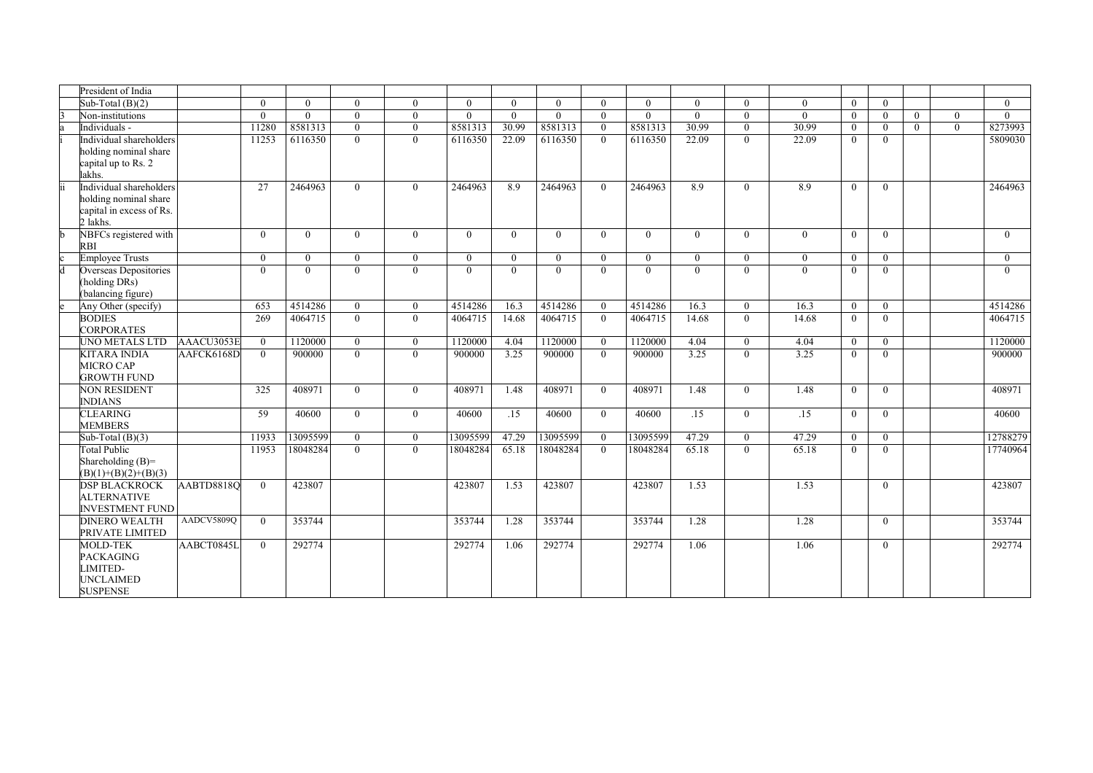|   | President of India                                                                       |                   |          |          |          |          |          |                |                |              |          |          |          |                |                |          |          |          |          |
|---|------------------------------------------------------------------------------------------|-------------------|----------|----------|----------|----------|----------|----------------|----------------|--------------|----------|----------|----------|----------------|----------------|----------|----------|----------|----------|
|   | Sub-Total $(B)(2)$                                                                       |                   | $\Omega$ | $\Omega$ | $\Omega$ | $\Omega$ | $\Omega$ | $\Omega$       | $\Omega$       | $\Omega$     | $\Omega$ | $\Omega$ | $\Omega$ | $\Omega$       | $\theta$       | $\Omega$ |          |          | $\Omega$ |
|   | Non-institutions                                                                         |                   | $\Omega$ | $\Omega$ | $\theta$ | $\theta$ | $\Omega$ | $\theta$       | $\Omega$       | $\theta$     | $\theta$ | $\theta$ | $\Omega$ | $\theta$       | $\theta$       | $\Omega$ | $\theta$ | $\Omega$ | $\Omega$ |
|   | Individuals -                                                                            |                   | 11280    | 8581313  | $\theta$ | $\theta$ | 8581313  | 30.99          | 8581313        | $\theta$     | 8581313  | 30.99    | $\Omega$ | 30.99          | $\mathbf{0}$   | $\Omega$ | $\theta$ | $\Omega$ | 8273993  |
|   | Individual shareholders<br>holding nominal share<br>capital up to Rs. 2<br>lakhs.        |                   | 11253    | 6116350  | $\theta$ | $\theta$ | 6116350  | 22.09          | 6116350        | $\Omega$     | 6116350  | 22.09    | $\Omega$ | 22.09          | $\theta$       | $\Omega$ |          |          | 5809030  |
|   | Individual shareholders<br>holding nominal share<br>capital in excess of Rs.<br>2 lakhs. |                   | 27       | 2464963  | $\Omega$ | $\theta$ | 2464963  | 8.9            | 2464963        | $\theta$     | 2464963  | 8.9      | $\Omega$ | 8.9            | $\theta$       | $\Omega$ |          |          | 2464963  |
|   | NBFCs registered with<br>RBI                                                             |                   | $\Omega$ | $\theta$ | $\Omega$ | $\Omega$ | $\theta$ | $\overline{0}$ | $\theta$       | $\Omega$     | $\theta$ | $\theta$ | $\Omega$ | $\theta$       | $\theta$       | $\Omega$ |          |          | $\Omega$ |
|   | <b>Employee Trusts</b>                                                                   |                   | $\Omega$ | $\theta$ | $\theta$ | $\Omega$ | $\theta$ | $\theta$       | $\overline{0}$ | $\Omega$     | $\theta$ | $\theta$ | $\Omega$ | $\overline{0}$ | $\overline{0}$ | $\Omega$ |          |          | $\Omega$ |
| d | Overseas Depositories<br>(holding DRs)<br>(balancing figure)                             |                   | $\Omega$ | $\Omega$ | $\Omega$ | $\Omega$ | $\theta$ | $\theta$       | $\theta$       | $\theta$     | $\Omega$ | $\theta$ | $\Omega$ | $\theta$       | $\mathbf{0}$   | $\Omega$ |          |          | $\theta$ |
|   | Any Other (specify)                                                                      |                   | 653      | 4514286  | $\theta$ | $\theta$ | 4514286  | 16.3           | 4514286        | $\theta$     | 4514286  | 16.3     | $\Omega$ | 16.3           | $\overline{0}$ | $\theta$ |          |          | 4514286  |
|   | <b>BODIES</b><br><b>CORPORATES</b>                                                       |                   | 269      | 4064715  | $\Omega$ | $\Omega$ | 4064715  | 14.68          | 4064715        | $\Omega$     | 4064715  | 14.68    | $\Omega$ | 14.68          | $\theta$       | $\Omega$ |          |          | 4064715  |
|   | UNO METALS LTD                                                                           | AAACU3053E        | $\Omega$ | 1120000  | $\theta$ | $\theta$ | 1120000  | 4.04           | 1120000        | $\mathbf{0}$ | 1120000  | 4.04     | $\theta$ | 4.04           | $\mathbf{0}$   | $\theta$ |          |          | 1120000  |
|   | <b>KITARA INDIA</b><br>MICRO CAP<br><b>GROWTH FUND</b>                                   | AAFCK6168D        | $\Omega$ | 900000   | $\Omega$ | $\Omega$ | 900000   | 3.25           | 900000         | $\Omega$     | 900000   | 3.25     | $\Omega$ | 3.25           | $\Omega$       | $\Omega$ |          |          | 900000   |
|   | <b>NON RESIDENT</b><br><b>INDIANS</b>                                                    |                   | 325      | 408971   | $\theta$ | $\Omega$ | 408971   | 1.48           | 408971         | $\Omega$     | 408971   | 1.48     | $\Omega$ | 1.48           | $\theta$       | $\theta$ |          |          | 408971   |
|   | <b>CLEARING</b><br><b>MEMBERS</b>                                                        |                   | 59       | 40600    | $\theta$ | $\Omega$ | 40600    | .15            | 40600          | $\Omega$     | 40600    | .15      | $\theta$ | .15            | $\mathbf{0}$   | $\theta$ |          |          | 40600    |
|   | Sub-Total $(B)(3)$                                                                       |                   | 11933    | 13095599 | $\theta$ | $\theta$ | 13095599 | 47.29          | 13095599       | $\mathbf{0}$ | 13095599 | 47.29    | $\Omega$ | 47.29          | $\theta$       | $\Omega$ |          |          | 12788279 |
|   | <b>Total Public</b><br>Shareholding $(B)=$<br>$(B)(1)+(B)(2)+(B)(3)$                     |                   | 11953    | 18048284 | $\Omega$ | $\theta$ | 18048284 | 65.18          | 18048284       | $\theta$     | 18048284 | 65.18    | $\Omega$ | 65.18          | $\theta$       | $\Omega$ |          |          | 17740964 |
|   | <b>DSP BLACKROCK</b><br><b>ALTERNATIVE</b><br><b>INVESTMENT FUND</b>                     | <b>AABTD8818Q</b> | $\theta$ | 423807   |          |          | 423807   | 1.53           | 423807         |              | 423807   | 1.53     |          | 1.53           |                | $\Omega$ |          |          | 423807   |
|   | <b>DINERO WEALTH</b><br>PRIVATE LIMITED                                                  | AADCV5809Q        | $\Omega$ | 353744   |          |          | 353744   | 1.28           | 353744         |              | 353744   | 1.28     |          | 1.28           |                | $\theta$ |          |          | 353744   |
|   | <b>MOLD-TEK</b><br><b>PACKAGING</b><br>LIMITED-<br>UNCLAIMED<br><b>SUSPENSE</b>          | AABCT0845L        | $\Omega$ | 292774   |          |          | 292774   | 1.06           | 292774         |              | 292774   | 1.06     |          | 1.06           |                | $\theta$ |          |          | 292774   |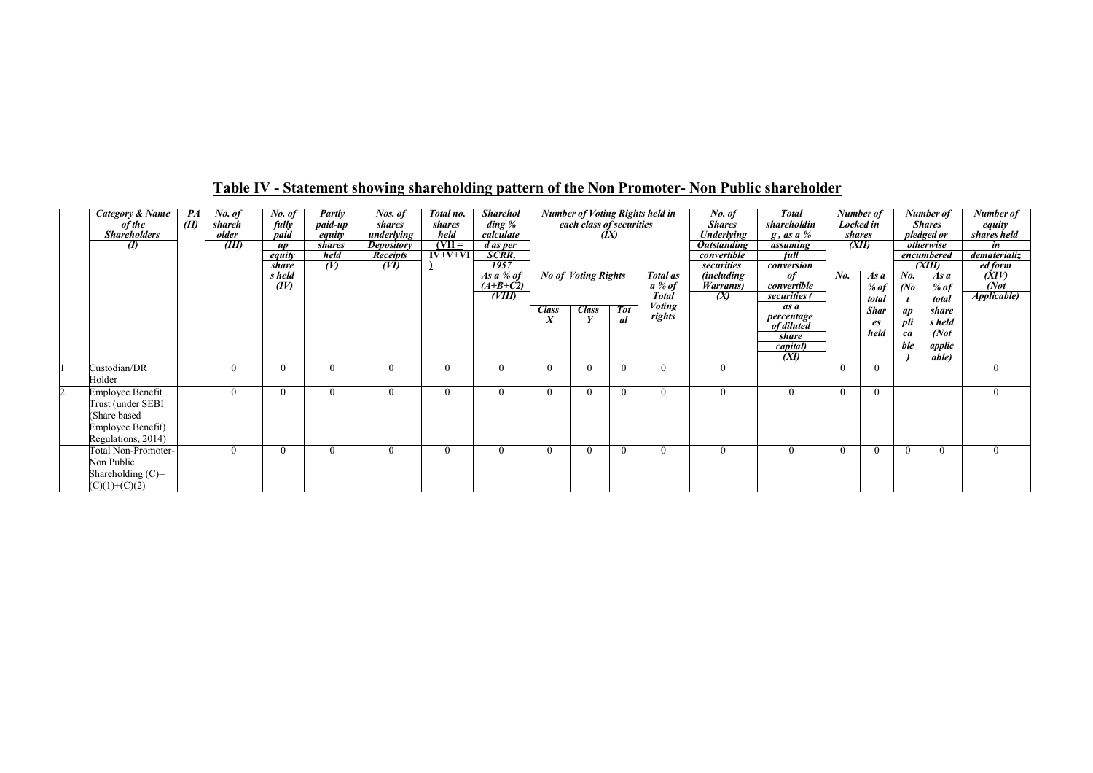| Category & Name      | PA   | No. of   | No. of       | Partly        | Nos. of           | Total no. | <b>Sharehol</b>      |              |                            |            | <b>Number of Voting Rights held in</b> | No. of                    | <b>Total</b>    |           | Number of   |          | Number of        | Number of           |
|----------------------|------|----------|--------------|---------------|-------------------|-----------|----------------------|--------------|----------------------------|------------|----------------------------------------|---------------------------|-----------------|-----------|-------------|----------|------------------|---------------------|
| of the               | (II) | shareh   | fully        | paid-up       | shares            | shares    | $\dim g \mathcal{C}$ |              | each class of securities   |            |                                        | <b>Shares</b>             | shareholdin     | Locked in |             |          | <b>Shares</b>    | equity              |
| <b>Shareholders</b>  |      | older    | paid         | equity        | underlying        | held      | calculate            |              | (IX)                       |            |                                        | <b>Underlying</b>         | $g$ , as a $\%$ | shares    |             |          | pledged or       | shares held         |
| $\boldsymbol{v}$     |      | (III)    | <b>UD</b>    | <i>shares</i> | <b>Depository</b> | $(VII =$  | d as per             |              |                            |            |                                        | <i><b>Outstanding</b></i> | assuming        | (XII)     |             |          | <i>otherwise</i> | in                  |
|                      |      |          | equity       | held          | <b>Receipts</b>   | $IV+V+VI$ | SCRR,                |              |                            |            |                                        | convertible               | full            |           |             |          | encumbered       | dematerializ        |
|                      |      |          | share        | (V)           | (VI)              |           | <b>1957</b>          |              |                            |            |                                        | securities                | conversion      |           |             |          | (XIII)           | ed form             |
|                      |      |          | s held       |               |                   |           | As $a\%$ of          |              | <b>No of Voting Rights</b> |            | Total as                               | <i>(including)</i>        | of              | No.       | As a        | No.      | As a             | (XIV)               |
|                      |      |          | (IV)         |               |                   |           | $(A+B+C2)$           |              |                            |            | $a\%$ of                               | <i>Warrants</i> )         | convertible     |           | % $of$      | (No)     | % of             | (Not)               |
|                      |      |          |              |               |                   |           | (VIII)               |              |                            |            | <b>Total</b>                           | (X)                       | securities (    |           | total       |          | total            | <b>Applicable</b> ) |
|                      |      |          |              |               |                   |           |                      | <b>Class</b> | <b>Class</b>               | <b>Tot</b> | <b>Voting</b>                          |                           | as a            |           | <b>Shar</b> | ap       | share            |                     |
|                      |      |          |              |               |                   |           |                      | A            |                            | al         | rights                                 |                           | percentage      |           | es          | pli      | s held           |                     |
|                      |      |          |              |               |                   |           |                      |              |                            |            |                                        |                           | of diluted      |           | held        | ca       | (Not             |                     |
|                      |      |          |              |               |                   |           |                      |              |                            |            |                                        |                           | share           |           |             |          |                  |                     |
|                      |      |          |              |               |                   |           |                      |              |                            |            |                                        |                           | capital)        |           |             | ble      | applic           |                     |
|                      |      |          |              |               |                   |           |                      |              |                            |            |                                        |                           | (XI)            |           |             |          | <i>able</i> )    |                     |
| Custodian/DR         |      |          |              |               | $\theta$          |           | $\Omega$             |              | $\Omega$                   | $\Omega$   | $\Omega$                               | $\theta$                  |                 | $\theta$  | $\Omega$    |          |                  | $\theta$            |
| Holder               |      |          |              |               |                   |           |                      |              |                            |            |                                        |                           |                 |           |             |          |                  |                     |
| Employee Benefit     |      | $\Omega$ |              |               | $\theta$          |           | 0                    |              | $\Omega$                   | $\theta$   | $\theta$                               | $\theta$                  | $\mathbf{0}$    | $\theta$  | $\Omega$    |          |                  | $\theta$            |
| Trust (under SEBI    |      |          |              |               |                   |           |                      |              |                            |            |                                        |                           |                 |           |             |          |                  |                     |
| (Share based)        |      |          |              |               |                   |           |                      |              |                            |            |                                        |                           |                 |           |             |          |                  |                     |
| Employee Benefit)    |      |          |              |               |                   |           |                      |              |                            |            |                                        |                           |                 |           |             |          |                  |                     |
| Regulations, 2014)   |      |          |              |               |                   |           |                      |              |                            |            |                                        |                           |                 |           |             |          |                  |                     |
|                      |      | $\theta$ |              | 0             | $\theta$          |           |                      |              | $\Omega$                   | $\theta$   | $\theta$                               | $\Omega$                  | $\mathbf{0}$    | $\theta$  |             | $\theta$ | $\Omega$         | $\theta$            |
| Total Non-Promoter-  |      |          | $\mathbf{U}$ |               |                   |           | $\Omega$             | $\Omega$     |                            |            |                                        |                           |                 |           |             |          |                  |                     |
| Non Public           |      |          |              |               |                   |           |                      |              |                            |            |                                        |                           |                 |           |             |          |                  |                     |
| Shareholding $(C)$ = |      |          |              |               |                   |           |                      |              |                            |            |                                        |                           |                 |           |             |          |                  |                     |
| $(C)(1)+(C)(2)$      |      |          |              |               |                   |           |                      |              |                            |            |                                        |                           |                 |           |             |          |                  |                     |

### Table IV - Statement showing shareholding pattern of the Non Promoter- Non Public shareholder